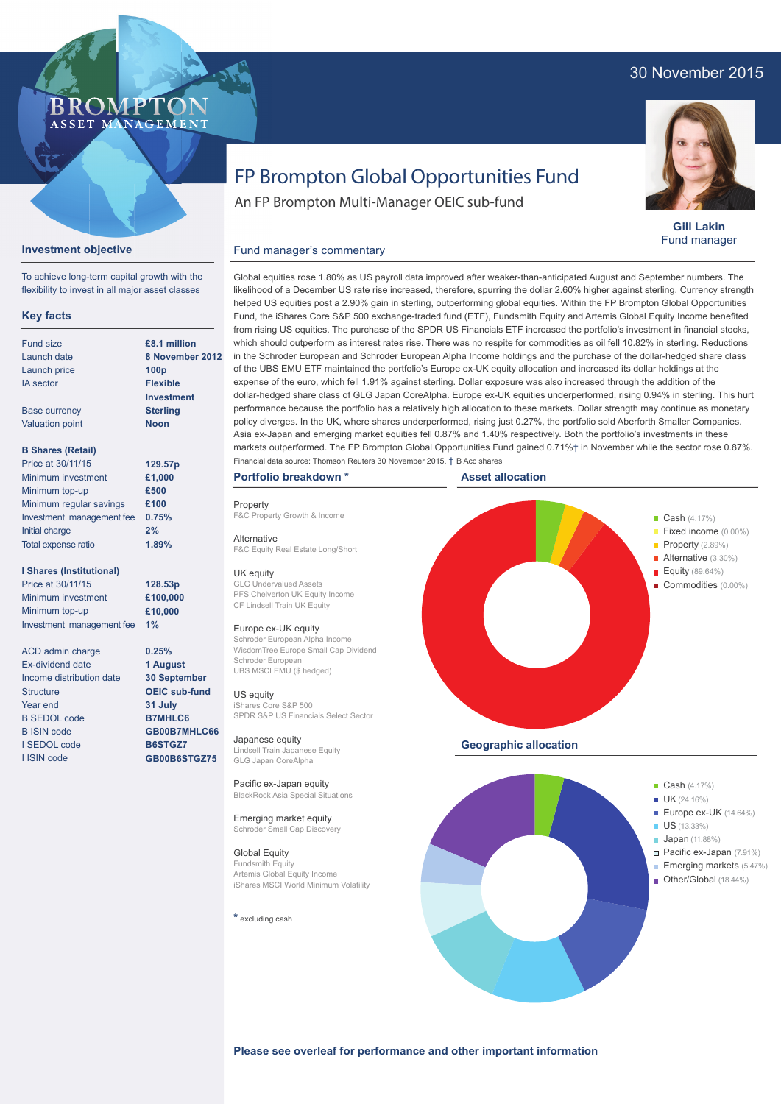## 30 November 2015



**Gill Lakin** Fund manager

# FP Brompton Global Opportunities Fund

An FP Brompton Multi-Manager OEIC sub-fund

#### **Investment objective** Fund manager's commentary

To achieve long-term capital growth with the flexibility to invest in all major asset classes

**BROMP** 

ASSET MANAGEMENT

### **Key facts**

| Fund size                 | £8.1 million      |
|---------------------------|-------------------|
| Launch date               | 8 November        |
| Launch price              | 100 <sub>p</sub>  |
| <b>IA</b> sector          | <b>Flexible</b>   |
|                           | <b>Investment</b> |
| <b>Base currency</b>      | <b>Sterling</b>   |
| <b>Valuation point</b>    | <b>Noon</b>       |
|                           |                   |
| <b>B Shares (Retail)</b>  |                   |
| Price at 30/11/15         | 129.57p           |
| Minimum investment        | £1,000            |
| Minimum top-up            | £500              |
| Minimum regular savings   | £100              |
| Investment management fee | 0.75%             |
| Initial charge            | 2%                |
| Total expense ratio       | 1.89%             |

#### **I Shares (Institutional)**

Price at 30/11/15 Minimum investment Minimum top-up Investment management fee **1%**

ACD admin charge Ex-dividend date Income distribution date **Structure** Year end B SEDOL code B ISIN code I SEDOL code I ISIN code

**ber 2012** Global equities rose 1.80% as US payroll data improved after weaker-than-anticipated August and September numbers. The likelihood of a December US rate rise increased, therefore, spurring the dollar 2.60% higher against sterling. Currency strength helped US equities post a 2.90% gain in sterling, outperforming global equities. Within the FP Brompton Global Opportunities Fund, the iShares Core S&P 500 exchange-traded fund (ETF), Fundsmith Equity and Artemis Global Equity Income benefited from rising US equities. The purchase of the SPDR US Financials ETF increased the portfolio's investment in financial stocks, which should outperform as interest rates rise. There was no respite for commodities as oil fell 10.82% in sterling. Reductions in the Schroder European and Schroder European Alpha Income holdings and the purchase of the dollar-hedged share class of the UBS EMU ETF maintained the portfolio's Europe ex-UK equity allocation and increased its dollar holdings at the expense of the euro, which fell 1.91% against sterling. Dollar exposure was also increased through the addition of the dollar-hedged share class of GLG Japan CoreAlpha. Europe ex-UK equities underperformed, rising 0.94% in sterling. This hurt performance because the portfolio has a relatively high allocation to these markets. Dollar strength may continue as monetary policy diverges. In the UK, where shares underperformed, rising just 0.27%, the portfolio sold Aberforth Smaller Companies. Asia ex-Japan and emerging market equities fell 0.87% and 1.40% respectively. Both the portfolio's investments in these markets outperformed. The FP Brompton Global Opportunities Fund gained 0.71%† in November while the sector rose 0.87%. Financial data source: Thomson Reuters 30 November 2015. † B Acc shares

Property F&C Property Growth & Income

Alternative F&C Equity Real Estate Long/Short

UK equity GLG Undervalued Assets PFS Chelverton UK Equity Income CF Lindsell Train UK Equity

#### Europe ex-UK equity

Schroder European Alpha Income WisdomTree Europe Small Cap Dividend Schroder European UBS MSCI EMU (\$ hedged)

#### US equity

iShares Core S&P 500 SPDR S&P US Financials Select Sector

Japanese equity Lindsell Train Japanese Equity GLG Japan CoreAlpha

Pacific ex-Japan equity BlackRock Asia Special Situations

Emerging market equity Schroder Small Cap Discovery

Global Equity Fundsmith Equity Artemis Global Equity Income iShares MSCI World Minimum Volatility

**\*** excluding cash



- **Japan** (11.88%)
- Pacific ex-Japan (7.91%) **Emerging markets (5.47%)**
- Other/Global (18.44%)

**Please see overleaf for performance and other important information**

**128.53p £100,000 £10,000**

**0.25% 1 August 30 September OEIC sub-fund 31 July B7MHLC6 GB00B7MHLC66 B6STGZ7 GB00B6STGZ75**

**Portfolio breakdown \***